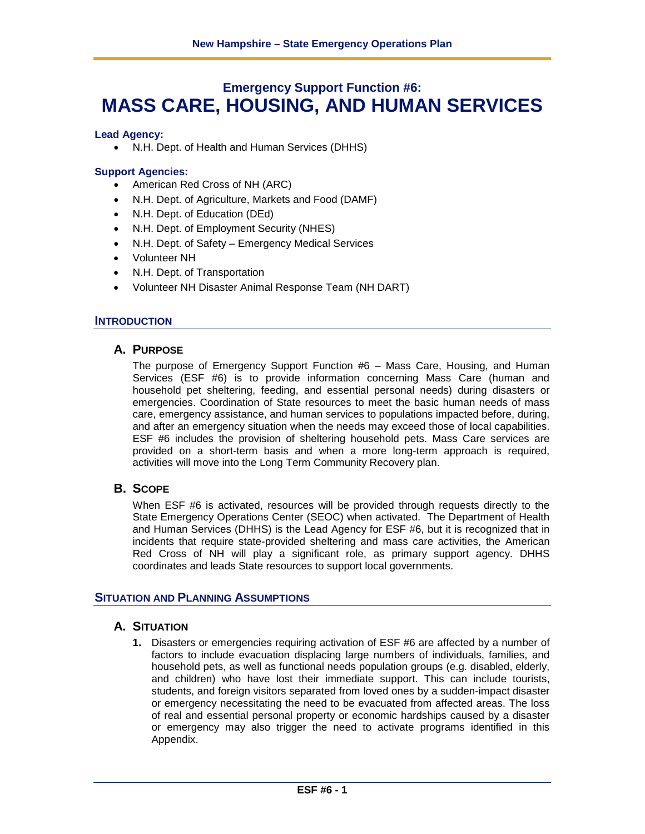# **Emergency Support Function #6: MASS CARE, HOUSING, AND HUMAN SERVICES**

## **Lead Agency:**

• N.H. Dept. of Health and Human Services (DHHS)

# **Support Agencies:**

- American Red Cross of NH (ARC)
- N.H. Dept. of Agriculture, Markets and Food (DAMF)
- N.H. Dept. of Education (DEd)
- N.H. Dept. of Employment Security (NHES)
- N.H. Dept. of Safety Emergency Medical Services
- Volunteer NH
- N.H. Dept. of Transportation
- Volunteer NH Disaster Animal Response Team (NH DART)

## **INTRODUCTION**

# **A. PURPOSE**

The purpose of Emergency Support Function #6 – Mass Care, Housing, and Human Services (ESF #6) is to provide information concerning Mass Care (human and household pet sheltering, feeding, and essential personal needs) during disasters or emergencies. Coordination of State resources to meet the basic human needs of mass care, emergency assistance, and human services to populations impacted before, during, and after an emergency situation when the needs may exceed those of local capabilities. ESF #6 includes the provision of sheltering household pets. Mass Care services are provided on a short-term basis and when a more long-term approach is required, activities will move into the Long Term Community Recovery plan.

# **B. SCOPE**

When ESF #6 is activated, resources will be provided through requests directly to the State Emergency Operations Center (SEOC) when activated. The Department of Health and Human Services (DHHS) is the Lead Agency for ESF #6, but it is recognized that in incidents that require state-provided sheltering and mass care activities, the American Red Cross of NH will play a significant role, as primary support agency. DHHS coordinates and leads State resources to support local governments.

# **SITUATION AND PLANNING ASSUMPTIONS**

# **A. SITUATION**

**1.** Disasters or emergencies requiring activation of ESF #6 are affected by a number of factors to include evacuation displacing large numbers of individuals, families, and household pets, as well as functional needs population groups (e.g. disabled, elderly, and children) who have lost their immediate support. This can include tourists, students, and foreign visitors separated from loved ones by a sudden-impact disaster or emergency necessitating the need to be evacuated from affected areas. The loss of real and essential personal property or economic hardships caused by a disaster or emergency may also trigger the need to activate programs identified in this Appendix.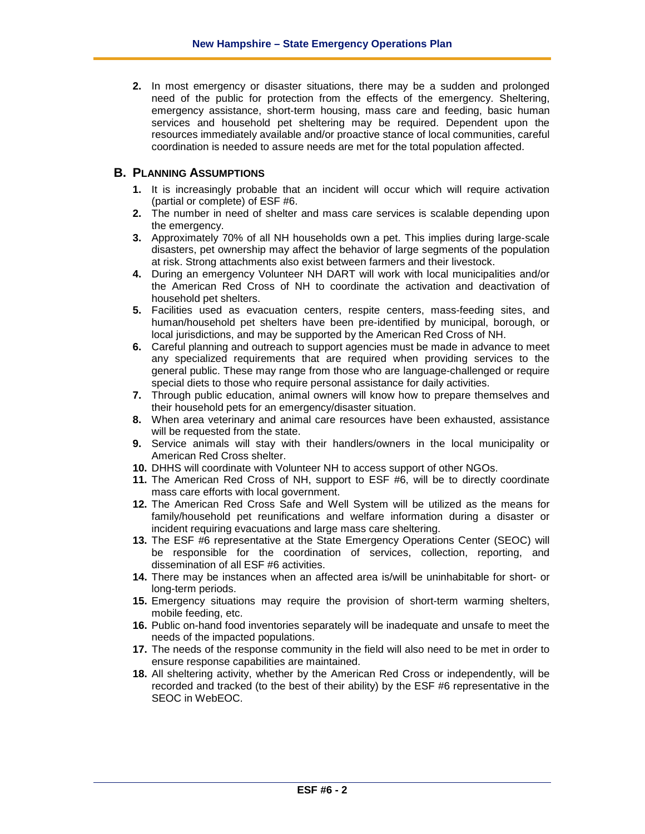**2.** In most emergency or disaster situations, there may be a sudden and prolonged need of the public for protection from the effects of the emergency. Sheltering, emergency assistance, short-term housing, mass care and feeding, basic human services and household pet sheltering may be required. Dependent upon the resources immediately available and/or proactive stance of local communities, careful coordination is needed to assure needs are met for the total population affected.

# **B. PLANNING ASSUMPTIONS**

- **1.** It is increasingly probable that an incident will occur which will require activation (partial or complete) of ESF #6.
- **2.** The number in need of shelter and mass care services is scalable depending upon the emergency.
- **3.** Approximately 70% of all NH households own a pet. This implies during large-scale disasters, pet ownership may affect the behavior of large segments of the population at risk. Strong attachments also exist between farmers and their livestock.
- **4.** During an emergency Volunteer NH DART will work with local municipalities and/or the American Red Cross of NH to coordinate the activation and deactivation of household pet shelters.
- **5.** Facilities used as evacuation centers, respite centers, mass-feeding sites, and human/household pet shelters have been pre-identified by municipal, borough, or local jurisdictions, and may be supported by the American Red Cross of NH.
- **6.** Careful planning and outreach to support agencies must be made in advance to meet any specialized requirements that are required when providing services to the general public. These may range from those who are language-challenged or require special diets to those who require personal assistance for daily activities.
- **7.** Through public education, animal owners will know how to prepare themselves and their household pets for an emergency/disaster situation.
- **8.** When area veterinary and animal care resources have been exhausted, assistance will be requested from the state.
- **9.** Service animals will stay with their handlers/owners in the local municipality or American Red Cross shelter.
- **10.** DHHS will coordinate with Volunteer NH to access support of other NGOs.
- **11.** The American Red Cross of NH, support to ESF #6, will be to directly coordinate mass care efforts with local government.
- **12.** The American Red Cross Safe and Well System will be utilized as the means for family/household pet reunifications and welfare information during a disaster or incident requiring evacuations and large mass care sheltering.
- **13.** The ESF #6 representative at the State Emergency Operations Center (SEOC) will be responsible for the coordination of services, collection, reporting, and dissemination of all ESF #6 activities.
- **14.** There may be instances when an affected area is/will be uninhabitable for short- or long-term periods.
- **15.** Emergency situations may require the provision of short-term warming shelters, mobile feeding, etc.
- **16.** Public on-hand food inventories separately will be inadequate and unsafe to meet the needs of the impacted populations.
- **17.** The needs of the response community in the field will also need to be met in order to ensure response capabilities are maintained.
- **18.** All sheltering activity, whether by the American Red Cross or independently, will be recorded and tracked (to the best of their ability) by the ESF #6 representative in the SEOC in WebEOC.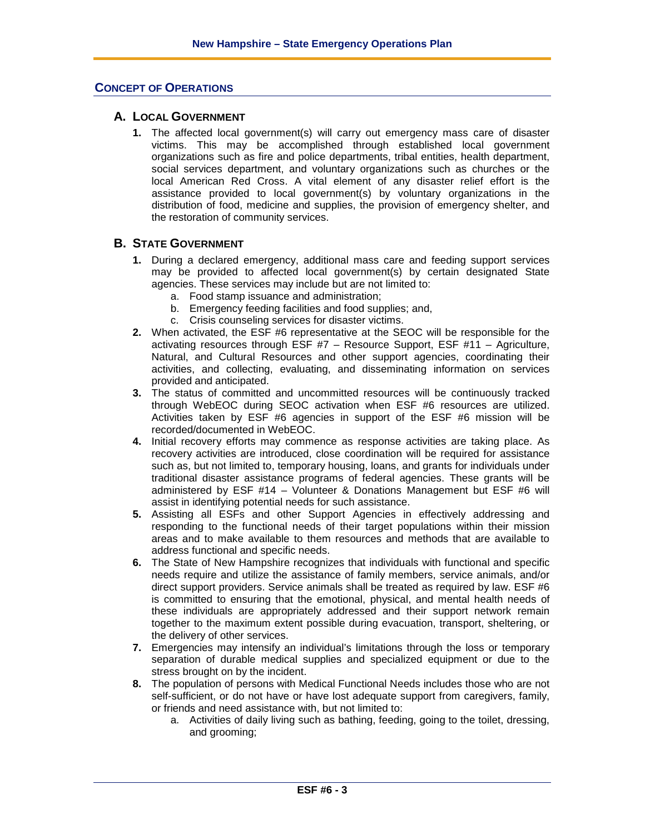## **CONCEPT OF OPERATIONS**

## **A. LOCAL GOVERNMENT**

**1.** The affected local government(s) will carry out emergency mass care of disaster victims. This may be accomplished through established local government organizations such as fire and police departments, tribal entities, health department, social services department, and voluntary organizations such as churches or the local American Red Cross. A vital element of any disaster relief effort is the assistance provided to local government(s) by voluntary organizations in the distribution of food, medicine and supplies, the provision of emergency shelter, and the restoration of community services.

# **B. STATE GOVERNMENT**

- **1.** During a declared emergency, additional mass care and feeding support services may be provided to affected local government(s) by certain designated State agencies. These services may include but are not limited to:
	- a. Food stamp issuance and administration;
	- b. Emergency feeding facilities and food supplies; and,
	- c. Crisis counseling services for disaster victims.
- **2.** When activated, the ESF #6 representative at the SEOC will be responsible for the activating resources through ESF #7 – Resource Support, ESF #11 – Agriculture, Natural, and Cultural Resources and other support agencies, coordinating their activities, and collecting, evaluating, and disseminating information on services provided and anticipated.
- **3.** The status of committed and uncommitted resources will be continuously tracked through WebEOC during SEOC activation when ESF #6 resources are utilized. Activities taken by ESF #6 agencies in support of the ESF #6 mission will be recorded/documented in WebEOC.
- **4.** Initial recovery efforts may commence as response activities are taking place. As recovery activities are introduced, close coordination will be required for assistance such as, but not limited to, temporary housing, loans, and grants for individuals under traditional disaster assistance programs of federal agencies. These grants will be administered by ESF #14 – Volunteer & Donations Management but ESF #6 will assist in identifying potential needs for such assistance.
- **5.** Assisting all ESFs and other Support Agencies in effectively addressing and responding to the functional needs of their target populations within their mission areas and to make available to them resources and methods that are available to address functional and specific needs.
- **6.** The State of New Hampshire recognizes that individuals with functional and specific needs require and utilize the assistance of family members, service animals, and/or direct support providers. Service animals shall be treated as required by law. ESF #6 is committed to ensuring that the emotional, physical, and mental health needs of these individuals are appropriately addressed and their support network remain together to the maximum extent possible during evacuation, transport, sheltering, or the delivery of other services.
- **7.** Emergencies may intensify an individual's limitations through the loss or temporary separation of durable medical supplies and specialized equipment or due to the stress brought on by the incident.
- **8.** The population of persons with Medical Functional Needs includes those who are not self-sufficient, or do not have or have lost adequate support from caregivers, family, or friends and need assistance with, but not limited to:
	- a. Activities of daily living such as bathing, feeding, going to the toilet, dressing, and grooming;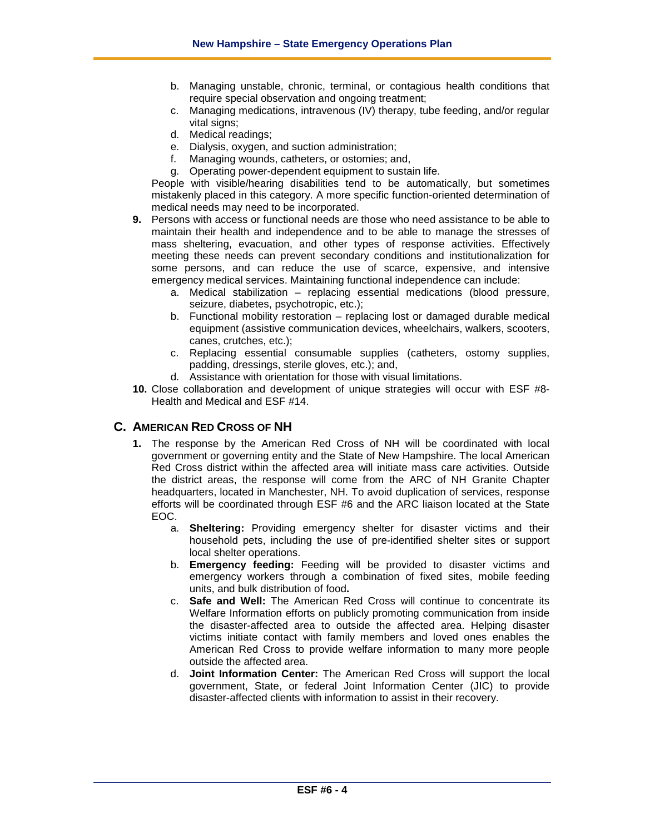- b. Managing unstable, chronic, terminal, or contagious health conditions that require special observation and ongoing treatment;
- c. Managing medications, intravenous (IV) therapy, tube feeding, and/or regular vital signs:
- d. Medical readings;
- e. Dialysis, oxygen, and suction administration;
- f. Managing wounds, catheters, or ostomies; and,
- g. Operating power-dependent equipment to sustain life.

People with visible/hearing disabilities tend to be automatically, but sometimes mistakenly placed in this category. A more specific function-oriented determination of medical needs may need to be incorporated.

- **9.** Persons with access or functional needs are those who need assistance to be able to maintain their health and independence and to be able to manage the stresses of mass sheltering, evacuation, and other types of response activities. Effectively meeting these needs can prevent secondary conditions and institutionalization for some persons, and can reduce the use of scarce, expensive, and intensive emergency medical services. Maintaining functional independence can include:
	- a. Medical stabilization replacing essential medications (blood pressure, seizure, diabetes, psychotropic, etc.);
	- b. Functional mobility restoration replacing lost or damaged durable medical equipment (assistive communication devices, wheelchairs, walkers, scooters, canes, crutches, etc.);
	- c. Replacing essential consumable supplies (catheters, ostomy supplies, padding, dressings, sterile gloves, etc.); and,
	- d. Assistance with orientation for those with visual limitations.
- **10.** Close collaboration and development of unique strategies will occur with ESF #8- Health and Medical and ESF #14.

# **C. AMERICAN RED CROSS OF NH**

- **1.** The response by the American Red Cross of NH will be coordinated with local government or governing entity and the State of New Hampshire. The local American Red Cross district within the affected area will initiate mass care activities. Outside the district areas, the response will come from the ARC of NH Granite Chapter headquarters, located in Manchester, NH. To avoid duplication of services, response efforts will be coordinated through ESF #6 and the ARC liaison located at the State EOC.
	- a. **Sheltering:** Providing emergency shelter for disaster victims and their household pets, including the use of pre-identified shelter sites or support local shelter operations.
	- b. **Emergency feeding:** Feeding will be provided to disaster victims and emergency workers through a combination of fixed sites, mobile feeding units, and bulk distribution of food**.**
	- c. **Safe and Well:** The American Red Cross will continue to concentrate its Welfare Information efforts on publicly promoting communication from inside the disaster-affected area to outside the affected area. Helping disaster victims initiate contact with family members and loved ones enables the American Red Cross to provide welfare information to many more people outside the affected area.
	- d. **Joint Information Center:** The American Red Cross will support the local government, State, or federal Joint Information Center (JIC) to provide disaster-affected clients with information to assist in their recovery.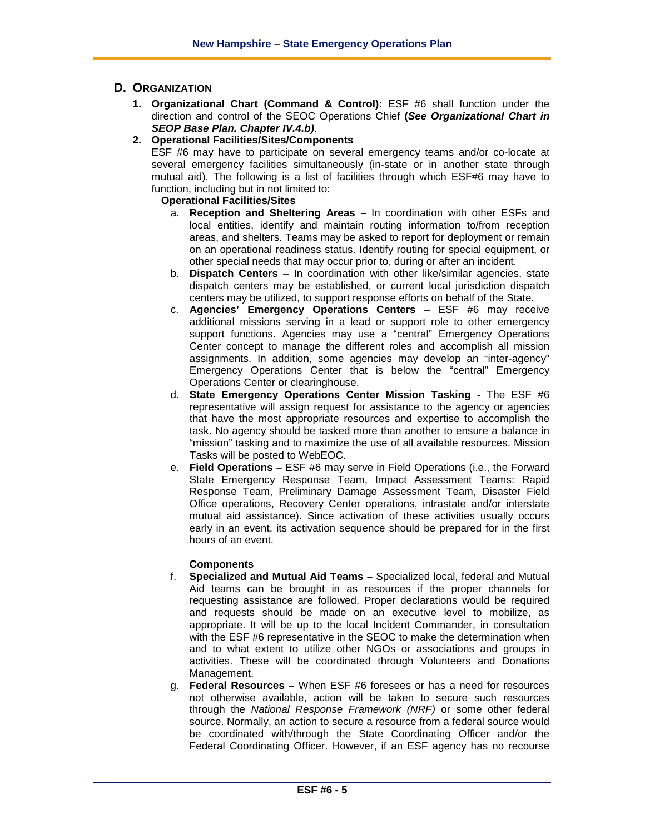# **D. ORGANIZATION**

- **1. Organizational Chart (Command & Control):** ESF #6 shall function under the direction and control of the SEOC Operations Chief **(***See Organizational Chart in SEOP Base Plan. Chapter IV.4.b)*.
- **2. Operational Facilities/Sites/Components**

ESF #6 may have to participate on several emergency teams and/or co-locate at several emergency facilities simultaneously (in-state or in another state through mutual aid). The following is a list of facilities through which ESF#6 may have to function, including but in not limited to:

# **Operational Facilities/Sites**

- a. **Reception and Sheltering Areas –** In coordination with other ESFs and local entities, identify and maintain routing information to/from reception areas, and shelters. Teams may be asked to report for deployment or remain on an operational readiness status. Identify routing for special equipment, or other special needs that may occur prior to, during or after an incident.
- b. **Dispatch Centers** In coordination with other like/similar agencies, state dispatch centers may be established, or current local jurisdiction dispatch centers may be utilized, to support response efforts on behalf of the State.
- c. **Agencies' Emergency Operations Centers** ESF #6 may receive additional missions serving in a lead or support role to other emergency support functions. Agencies may use a "central" Emergency Operations Center concept to manage the different roles and accomplish all mission assignments. In addition, some agencies may develop an "inter-agency" Emergency Operations Center that is below the "central" Emergency Operations Center or clearinghouse.
- d. **State Emergency Operations Center Mission Tasking -** The ESF #6 representative will assign request for assistance to the agency or agencies that have the most appropriate resources and expertise to accomplish the task. No agency should be tasked more than another to ensure a balance in "mission" tasking and to maximize the use of all available resources. Mission Tasks will be posted to WebEOC.
- e. **Field Operations –** ESF #6 may serve in Field Operations (i.e., the Forward State Emergency Response Team, Impact Assessment Teams: Rapid Response Team, Preliminary Damage Assessment Team, Disaster Field Office operations, Recovery Center operations, intrastate and/or interstate mutual aid assistance). Since activation of these activities usually occurs early in an event, its activation sequence should be prepared for in the first hours of an event.

#### **Components**

- f. **Specialized and Mutual Aid Teams –** Specialized local, federal and Mutual Aid teams can be brought in as resources if the proper channels for requesting assistance are followed. Proper declarations would be required and requests should be made on an executive level to mobilize, as appropriate. It will be up to the local Incident Commander, in consultation with the ESF #6 representative in the SEOC to make the determination when and to what extent to utilize other NGOs or associations and groups in activities. These will be coordinated through Volunteers and Donations Management.
- g. **Federal Resources –** When ESF #6 foresees or has a need for resources not otherwise available, action will be taken to secure such resources through the *National Response Framework (NRF)* or some other federal source. Normally, an action to secure a resource from a federal source would be coordinated with/through the State Coordinating Officer and/or the Federal Coordinating Officer. However, if an ESF agency has no recourse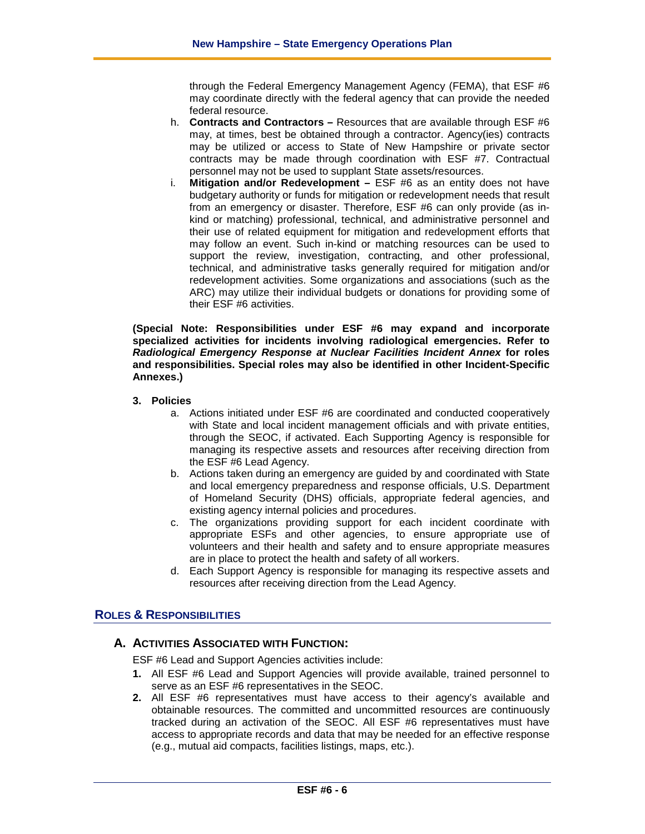through the Federal Emergency Management Agency (FEMA), that ESF #6 may coordinate directly with the federal agency that can provide the needed federal resource.

- h. **Contracts and Contractors –** Resources that are available through ESF #6 may, at times, best be obtained through a contractor. Agency(ies) contracts may be utilized or access to State of New Hampshire or private sector contracts may be made through coordination with ESF #7. Contractual personnel may not be used to supplant State assets/resources.
- i. **Mitigation and/or Redevelopment –** ESF #6 as an entity does not have budgetary authority or funds for mitigation or redevelopment needs that result from an emergency or disaster. Therefore, ESF #6 can only provide (as inkind or matching) professional, technical, and administrative personnel and their use of related equipment for mitigation and redevelopment efforts that may follow an event. Such in-kind or matching resources can be used to support the review, investigation, contracting, and other professional, technical, and administrative tasks generally required for mitigation and/or redevelopment activities. Some organizations and associations (such as the ARC) may utilize their individual budgets or donations for providing some of their ESF #6 activities.

**(Special Note: Responsibilities under ESF #6 may expand and incorporate specialized activities for incidents involving radiological emergencies. Refer to**  *Radiological Emergency Response at Nuclear Facilities Incident Annex* **for roles and responsibilities. Special roles may also be identified in other Incident-Specific Annexes.)**

#### **3. Policies**

- a. Actions initiated under ESF #6 are coordinated and conducted cooperatively with State and local incident management officials and with private entities, through the SEOC, if activated. Each Supporting Agency is responsible for managing its respective assets and resources after receiving direction from the ESF #6 Lead Agency.
- b. Actions taken during an emergency are guided by and coordinated with State and local emergency preparedness and response officials, U.S. Department of Homeland Security (DHS) officials, appropriate federal agencies, and existing agency internal policies and procedures.
- c. The organizations providing support for each incident coordinate with appropriate ESFs and other agencies, to ensure appropriate use of volunteers and their health and safety and to ensure appropriate measures are in place to protect the health and safety of all workers.
- d. Each Support Agency is responsible for managing its respective assets and resources after receiving direction from the Lead Agency.

# **ROLES & RESPONSIBILITIES**

# **A. ACTIVITIES ASSOCIATED WITH FUNCTION:**

ESF #6 Lead and Support Agencies activities include:

- **1.** All ESF #6 Lead and Support Agencies will provide available, trained personnel to serve as an ESF #6 representatives in the SEOC.
- **2.** All ESF #6 representatives must have access to their agency's available and obtainable resources. The committed and uncommitted resources are continuously tracked during an activation of the SEOC. All ESF #6 representatives must have access to appropriate records and data that may be needed for an effective response (e.g., mutual aid compacts, facilities listings, maps, etc.).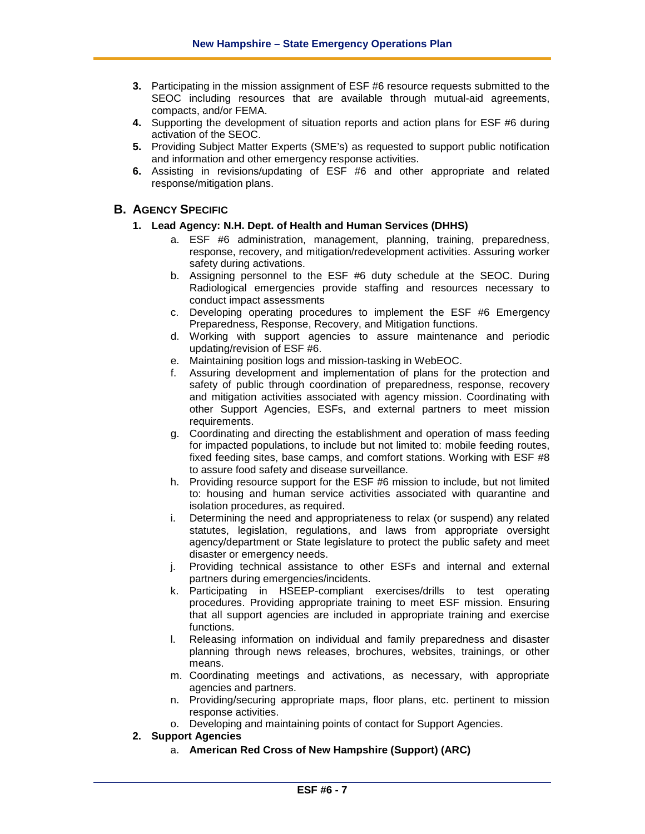- **3.** Participating in the mission assignment of ESF #6 resource requests submitted to the SEOC including resources that are available through mutual-aid agreements, compacts, and/or FEMA.
- **4.** Supporting the development of situation reports and action plans for ESF #6 during activation of the SEOC.
- **5.** Providing Subject Matter Experts (SME's) as requested to support public notification and information and other emergency response activities.
- **6.** Assisting in revisions/updating of ESF #6 and other appropriate and related response/mitigation plans.

# **B. AGENCY SPECIFIC**

- **1. Lead Agency: N.H. Dept. of Health and Human Services (DHHS)**
	- a. ESF #6 administration, management, planning, training, preparedness, response, recovery, and mitigation/redevelopment activities. Assuring worker safety during activations.
	- b. Assigning personnel to the ESF #6 duty schedule at the SEOC. During Radiological emergencies provide staffing and resources necessary to conduct impact assessments
	- c. Developing operating procedures to implement the ESF #6 Emergency Preparedness, Response, Recovery, and Mitigation functions.
	- d. Working with support agencies to assure maintenance and periodic updating/revision of ESF #6.
	- e. Maintaining position logs and mission-tasking in WebEOC.
	- f. Assuring development and implementation of plans for the protection and safety of public through coordination of preparedness, response, recovery and mitigation activities associated with agency mission. Coordinating with other Support Agencies, ESFs, and external partners to meet mission requirements.
	- g. Coordinating and directing the establishment and operation of mass feeding for impacted populations, to include but not limited to: mobile feeding routes, fixed feeding sites, base camps, and comfort stations. Working with ESF #8 to assure food safety and disease surveillance.
	- h. Providing resource support for the ESF #6 mission to include, but not limited to: housing and human service activities associated with quarantine and isolation procedures, as required.
	- i. Determining the need and appropriateness to relax (or suspend) any related statutes, legislation, regulations, and laws from appropriate oversight agency/department or State legislature to protect the public safety and meet disaster or emergency needs.
	- j. Providing technical assistance to other ESFs and internal and external partners during emergencies/incidents.
	- k. Participating in HSEEP-compliant exercises/drills to test operating procedures. Providing appropriate training to meet ESF mission. Ensuring that all support agencies are included in appropriate training and exercise functions.
	- l. Releasing information on individual and family preparedness and disaster planning through news releases, brochures, websites, trainings, or other means.
	- m. Coordinating meetings and activations, as necessary, with appropriate agencies and partners.
	- n. Providing/securing appropriate maps, floor plans, etc. pertinent to mission response activities.
	- o. Developing and maintaining points of contact for Support Agencies.
- **2. Support Agencies**
	- a. **American Red Cross of New Hampshire (Support) (ARC)**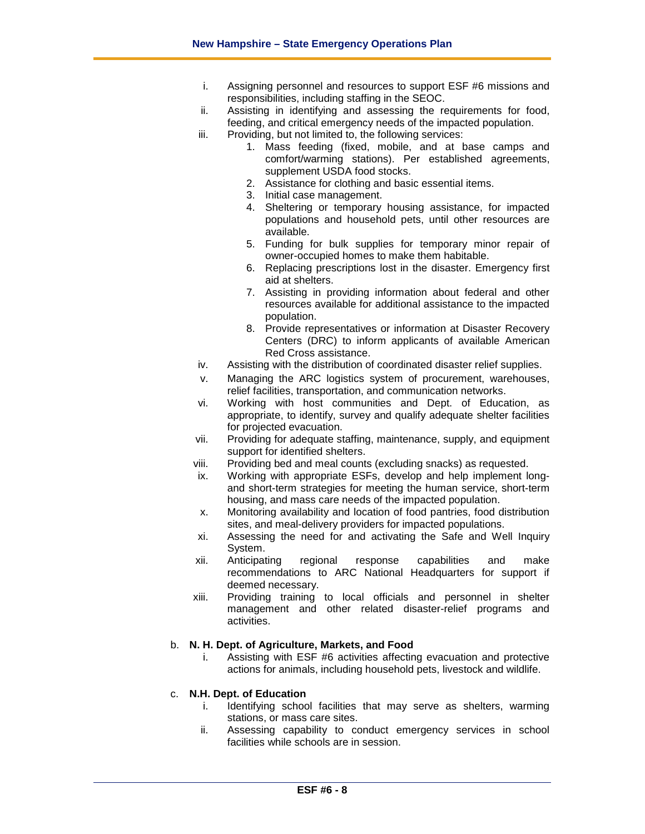- i. Assigning personnel and resources to support ESF #6 missions and responsibilities, including staffing in the SEOC.
- ii. Assisting in identifying and assessing the requirements for food, feeding, and critical emergency needs of the impacted population.
- iii. Providing, but not limited to, the following services:
	- 1. Mass feeding (fixed, mobile, and at base camps and comfort/warming stations). Per established agreements, supplement USDA food stocks.
	- 2. Assistance for clothing and basic essential items.
	- 3. Initial case management.
	- 4. Sheltering or temporary housing assistance, for impacted populations and household pets, until other resources are available.
	- 5. Funding for bulk supplies for temporary minor repair of owner-occupied homes to make them habitable.
	- 6. Replacing prescriptions lost in the disaster. Emergency first aid at shelters.
	- 7. Assisting in providing information about federal and other resources available for additional assistance to the impacted population.
	- 8. Provide representatives or information at Disaster Recovery Centers (DRC) to inform applicants of available American Red Cross assistance.
- iv. Assisting with the distribution of coordinated disaster relief supplies.
- v. Managing the ARC logistics system of procurement, warehouses, relief facilities, transportation, and communication networks.
- vi. Working with host communities and Dept. of Education, as appropriate, to identify, survey and qualify adequate shelter facilities for projected evacuation.
- vii. Providing for adequate staffing, maintenance, supply, and equipment support for identified shelters.
- viii. Providing bed and meal counts (excluding snacks) as requested.
- ix. Working with appropriate ESFs, develop and help implement longand short-term strategies for meeting the human service, short-term housing, and mass care needs of the impacted population.
- x. Monitoring availability and location of food pantries, food distribution sites, and meal-delivery providers for impacted populations.
- xi. Assessing the need for and activating the Safe and Well Inquiry System.
- xii. Anticipating regional response capabilities and make recommendations to ARC National Headquarters for support if deemed necessary.
- xiii. Providing training to local officials and personnel in shelter management and other related disaster-relief programs and activities.

# b. **N. H. Dept. of Agriculture, Markets, and Food**

i. Assisting with ESF #6 activities affecting evacuation and protective actions for animals, including household pets, livestock and wildlife.

# c. **N.H. Dept. of Education**

- i. Identifying school facilities that may serve as shelters, warming stations, or mass care sites.
- ii. Assessing capability to conduct emergency services in school facilities while schools are in session.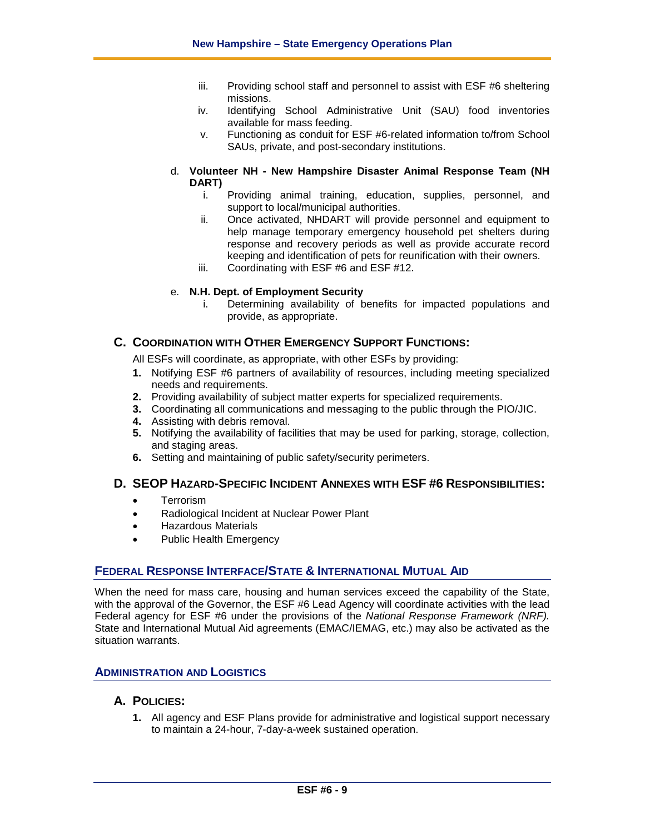- iii. Providing school staff and personnel to assist with ESF #6 sheltering missions.
- iv. Identifying School Administrative Unit (SAU) food inventories available for mass feeding.
- v. Functioning as conduit for ESF #6-related information to/from School SAUs, private, and post-secondary institutions.
- d. **Volunteer NH - New Hampshire Disaster Animal Response Team (NH DART)**
	- i. Providing animal training, education, supplies, personnel, and support to local/municipal authorities.
	- ii. Once activated, NHDART will provide personnel and equipment to help manage temporary emergency household pet shelters during response and recovery periods as well as provide accurate record keeping and identification of pets for reunification with their owners.
	- iii. Coordinating with ESF #6 and ESF #12.

## e. **N.H. Dept. of Employment Security**

i. Determining availability of benefits for impacted populations and provide, as appropriate.

# **C. COORDINATION WITH OTHER EMERGENCY SUPPORT FUNCTIONS:**

All ESFs will coordinate, as appropriate, with other ESFs by providing:

- **1.** Notifying ESF #6 partners of availability of resources, including meeting specialized needs and requirements.
- **2.** Providing availability of subject matter experts for specialized requirements.
- **3.** Coordinating all communications and messaging to the public through the PIO/JIC.
- **4.** Assisting with debris removal.
- **5.** Notifying the availability of facilities that may be used for parking, storage, collection, and staging areas.
- **6.** Setting and maintaining of public safety/security perimeters.

# **D. SEOP HAZARD-SPECIFIC INCIDENT ANNEXES WITH ESF #6 RESPONSIBILITIES:**

- **Terrorism**
- Radiological Incident at Nuclear Power Plant
- Hazardous Materials
- Public Health Emergency

# **FEDERAL RESPONSE INTERFACE/STATE & INTERNATIONAL MUTUAL AID**

When the need for mass care, housing and human services exceed the capability of the State, with the approval of the Governor, the ESF #6 Lead Agency will coordinate activities with the lead Federal agency for ESF #6 under the provisions of the *National Response Framework (NRF).* State and International Mutual Aid agreements (EMAC/IEMAG, etc.) may also be activated as the situation warrants.

# **ADMINISTRATION AND LOGISTICS**

# **A. POLICIES:**

**1.** All agency and ESF Plans provide for administrative and logistical support necessary to maintain a 24-hour, 7-day-a-week sustained operation.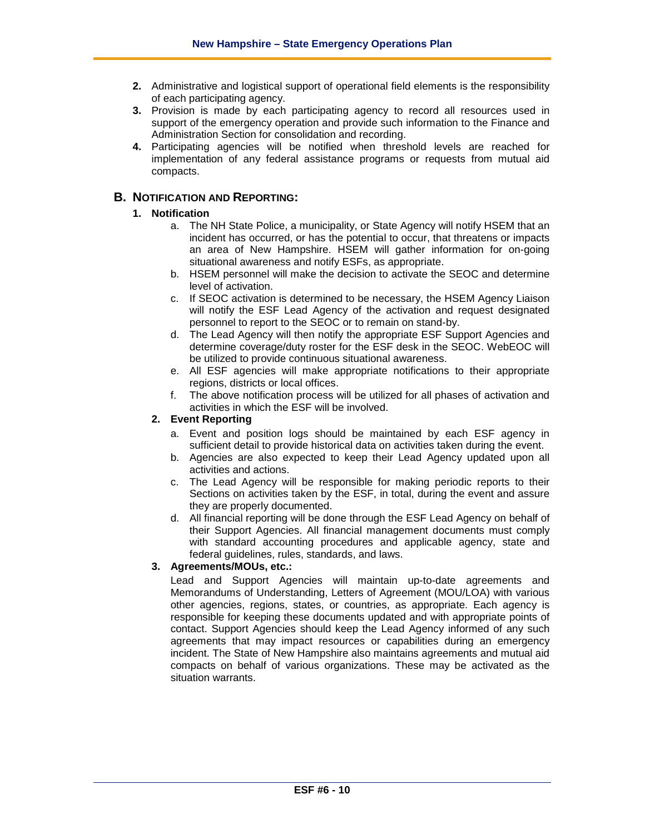- **2.** Administrative and logistical support of operational field elements is the responsibility of each participating agency.
- **3.** Provision is made by each participating agency to record all resources used in support of the emergency operation and provide such information to the Finance and Administration Section for consolidation and recording.
- **4.** Participating agencies will be notified when threshold levels are reached for implementation of any federal assistance programs or requests from mutual aid compacts.

# **B. NOTIFICATION AND REPORTING:**

## **1. Notification**

- a. The NH State Police, a municipality, or State Agency will notify HSEM that an incident has occurred, or has the potential to occur, that threatens or impacts an area of New Hampshire. HSEM will gather information for on-going situational awareness and notify ESFs, as appropriate.
- b. HSEM personnel will make the decision to activate the SEOC and determine level of activation.
- c. If SEOC activation is determined to be necessary, the HSEM Agency Liaison will notify the ESF Lead Agency of the activation and request designated personnel to report to the SEOC or to remain on stand-by.
- d. The Lead Agency will then notify the appropriate ESF Support Agencies and determine coverage/duty roster for the ESF desk in the SEOC. WebEOC will be utilized to provide continuous situational awareness.
- e. All ESF agencies will make appropriate notifications to their appropriate regions, districts or local offices.
- f. The above notification process will be utilized for all phases of activation and activities in which the ESF will be involved.

# **2. Event Reporting**

- a. Event and position logs should be maintained by each ESF agency in sufficient detail to provide historical data on activities taken during the event.
- b. Agencies are also expected to keep their Lead Agency updated upon all activities and actions.
- c. The Lead Agency will be responsible for making periodic reports to their Sections on activities taken by the ESF, in total, during the event and assure they are properly documented.
- d. All financial reporting will be done through the ESF Lead Agency on behalf of their Support Agencies. All financial management documents must comply with standard accounting procedures and applicable agency, state and federal guidelines, rules, standards, and laws.

#### **3. Agreements/MOUs, etc.:**

Lead and Support Agencies will maintain up-to-date agreements and Memorandums of Understanding, Letters of Agreement (MOU/LOA) with various other agencies, regions, states, or countries, as appropriate. Each agency is responsible for keeping these documents updated and with appropriate points of contact. Support Agencies should keep the Lead Agency informed of any such agreements that may impact resources or capabilities during an emergency incident. The State of New Hampshire also maintains agreements and mutual aid compacts on behalf of various organizations. These may be activated as the situation warrants.